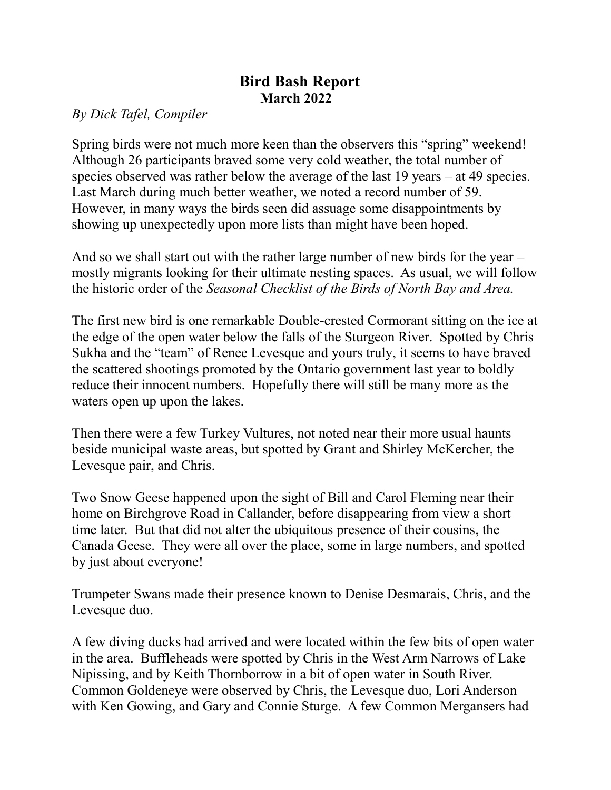## **Bird Bash Report March 2022**

## *By Dick Tafel, Compiler*

Spring birds were not much more keen than the observers this "spring" weekend! Although 26 participants braved some very cold weather, the total number of species observed was rather below the average of the last 19 years – at 49 species. Last March during much better weather, we noted a record number of 59. However, in many ways the birds seen did assuage some disappointments by showing up unexpectedly upon more lists than might have been hoped.

And so we shall start out with the rather large number of new birds for the year – mostly migrants looking for their ultimate nesting spaces. As usual, we will follow the historic order of the *Seasonal Checklist of the Birds of North Bay and Area.*

The first new bird is one remarkable Double-crested Cormorant sitting on the ice at the edge of the open water below the falls of the Sturgeon River. Spotted by Chris Sukha and the "team" of Renee Levesque and yours truly, it seems to have braved the scattered shootings promoted by the Ontario government last year to boldly reduce their innocent numbers. Hopefully there will still be many more as the waters open up upon the lakes.

Then there were a few Turkey Vultures, not noted near their more usual haunts beside municipal waste areas, but spotted by Grant and Shirley McKercher, the Levesque pair, and Chris.

Two Snow Geese happened upon the sight of Bill and Carol Fleming near their home on Birchgrove Road in Callander, before disappearing from view a short time later. But that did not alter the ubiquitous presence of their cousins, the Canada Geese. They were all over the place, some in large numbers, and spotted by just about everyone!

Trumpeter Swans made their presence known to Denise Desmarais, Chris, and the Levesque duo.

A few diving ducks had arrived and were located within the few bits of open water in the area. Buffleheads were spotted by Chris in the West Arm Narrows of Lake Nipissing, and by Keith Thornborrow in a bit of open water in South River. Common Goldeneye were observed by Chris, the Levesque duo, Lori Anderson with Ken Gowing, and Gary and Connie Sturge. A few Common Mergansers had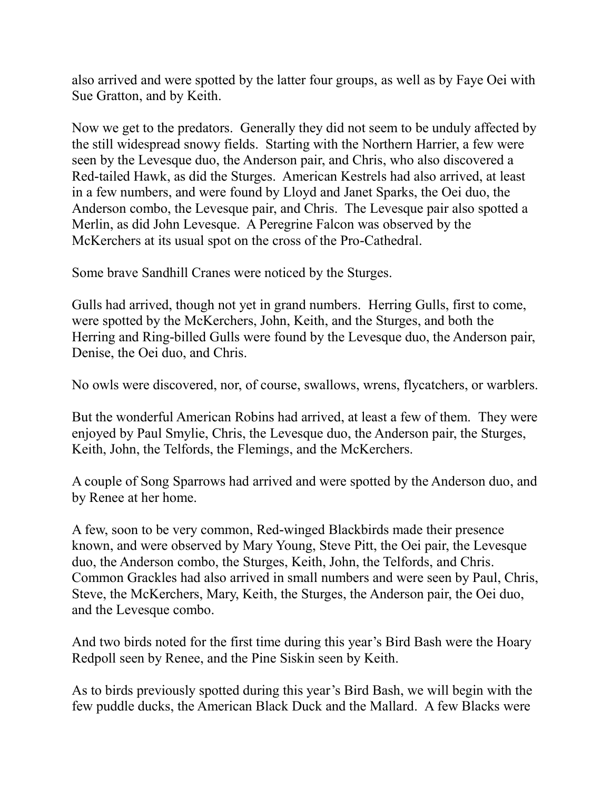also arrived and were spotted by the latter four groups, as well as by Faye Oei with Sue Gratton, and by Keith.

Now we get to the predators. Generally they did not seem to be unduly affected by the still widespread snowy fields. Starting with the Northern Harrier, a few were seen by the Levesque duo, the Anderson pair, and Chris, who also discovered a Red-tailed Hawk, as did the Sturges. American Kestrels had also arrived, at least in a few numbers, and were found by Lloyd and Janet Sparks, the Oei duo, the Anderson combo, the Levesque pair, and Chris. The Levesque pair also spotted a Merlin, as did John Levesque. A Peregrine Falcon was observed by the McKerchers at its usual spot on the cross of the Pro-Cathedral.

Some brave Sandhill Cranes were noticed by the Sturges.

Gulls had arrived, though not yet in grand numbers. Herring Gulls, first to come, were spotted by the McKerchers, John, Keith, and the Sturges, and both the Herring and Ring-billed Gulls were found by the Levesque duo, the Anderson pair, Denise, the Oei duo, and Chris.

No owls were discovered, nor, of course, swallows, wrens, flycatchers, or warblers.

But the wonderful American Robins had arrived, at least a few of them. They were enjoyed by Paul Smylie, Chris, the Levesque duo, the Anderson pair, the Sturges, Keith, John, the Telfords, the Flemings, and the McKerchers.

A couple of Song Sparrows had arrived and were spotted by the Anderson duo, and by Renee at her home.

A few, soon to be very common, Red-winged Blackbirds made their presence known, and were observed by Mary Young, Steve Pitt, the Oei pair, the Levesque duo, the Anderson combo, the Sturges, Keith, John, the Telfords, and Chris. Common Grackles had also arrived in small numbers and were seen by Paul, Chris, Steve, the McKerchers, Mary, Keith, the Sturges, the Anderson pair, the Oei duo, and the Levesque combo.

And two birds noted for the first time during this year's Bird Bash were the Hoary Redpoll seen by Renee, and the Pine Siskin seen by Keith.

As to birds previously spotted during this year's Bird Bash, we will begin with the few puddle ducks, the American Black Duck and the Mallard. A few Blacks were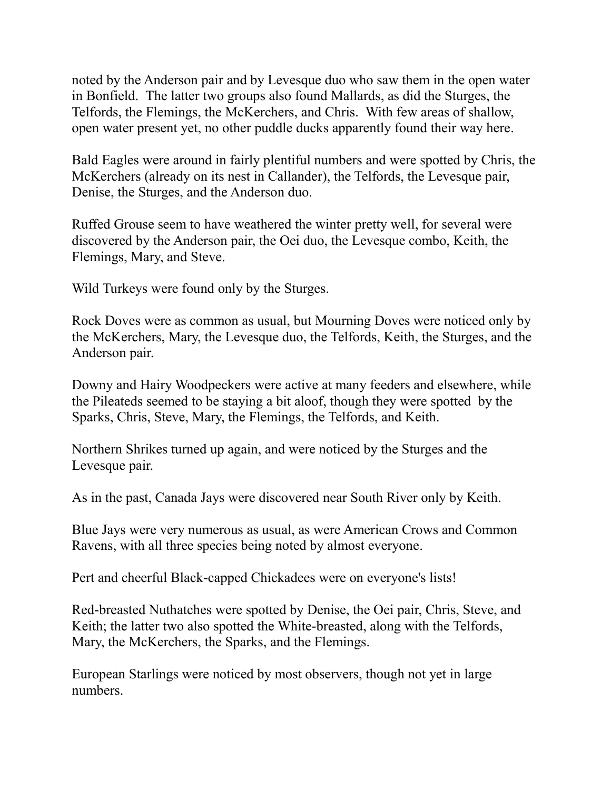noted by the Anderson pair and by Levesque duo who saw them in the open water in Bonfield. The latter two groups also found Mallards, as did the Sturges, the Telfords, the Flemings, the McKerchers, and Chris. With few areas of shallow, open water present yet, no other puddle ducks apparently found their way here.

Bald Eagles were around in fairly plentiful numbers and were spotted by Chris, the McKerchers (already on its nest in Callander), the Telfords, the Levesque pair, Denise, the Sturges, and the Anderson duo.

Ruffed Grouse seem to have weathered the winter pretty well, for several were discovered by the Anderson pair, the Oei duo, the Levesque combo, Keith, the Flemings, Mary, and Steve.

Wild Turkeys were found only by the Sturges.

Rock Doves were as common as usual, but Mourning Doves were noticed only by the McKerchers, Mary, the Levesque duo, the Telfords, Keith, the Sturges, and the Anderson pair.

Downy and Hairy Woodpeckers were active at many feeders and elsewhere, while the Pileateds seemed to be staying a bit aloof, though they were spotted by the Sparks, Chris, Steve, Mary, the Flemings, the Telfords, and Keith.

Northern Shrikes turned up again, and were noticed by the Sturges and the Levesque pair.

As in the past, Canada Jays were discovered near South River only by Keith.

Blue Jays were very numerous as usual, as were American Crows and Common Ravens, with all three species being noted by almost everyone.

Pert and cheerful Black-capped Chickadees were on everyone's lists!

Red-breasted Nuthatches were spotted by Denise, the Oei pair, Chris, Steve, and Keith; the latter two also spotted the White-breasted, along with the Telfords, Mary, the McKerchers, the Sparks, and the Flemings.

European Starlings were noticed by most observers, though not yet in large numbers.